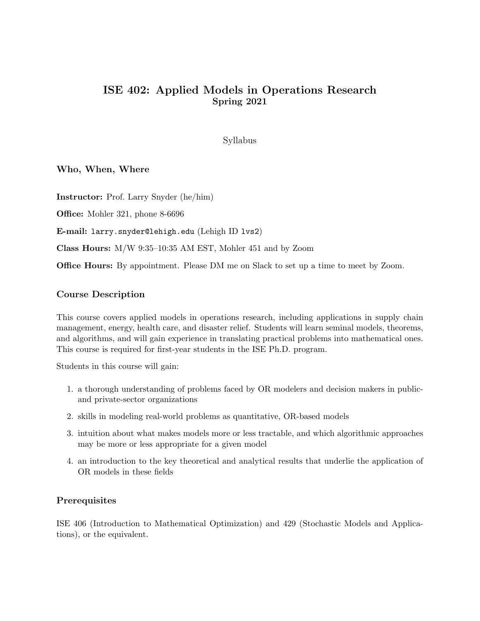# ISE 402: Applied Models in Operations Research Spring 2021

Syllabus

Who, When, Where

Instructor: Prof. Larry Snyder (he/him)

Office: Mohler 321, phone 8-6696

E-mail: larry.snyder@lehigh.edu (Lehigh ID lvs2)

Class Hours: M/W 9:35–10:35 AM EST, Mohler 451 and by Zoom

Office Hours: By appointment. Please DM me on Slack to set up a time to meet by Zoom.

#### Course Description

This course covers applied models in operations research, including applications in supply chain management, energy, health care, and disaster relief. Students will learn seminal models, theorems, and algorithms, and will gain experience in translating practical problems into mathematical ones. This course is required for first-year students in the ISE Ph.D. program.

Students in this course will gain:

- 1. a thorough understanding of problems faced by OR modelers and decision makers in publicand private-sector organizations
- 2. skills in modeling real-world problems as quantitative, OR-based models
- 3. intuition about what makes models more or less tractable, and which algorithmic approaches may be more or less appropriate for a given model
- 4. an introduction to the key theoretical and analytical results that underlie the application of OR models in these fields

#### **Prerequisites**

ISE 406 (Introduction to Mathematical Optimization) and 429 (Stochastic Models and Applications), or the equivalent.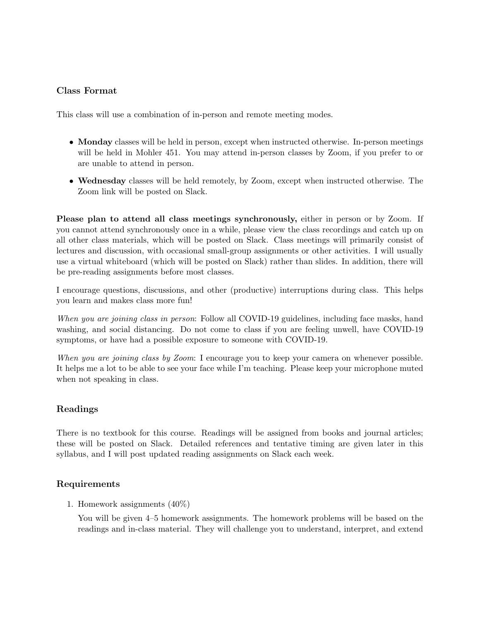### Class Format

This class will use a combination of in-person and remote meeting modes.

- Monday classes will be held in person, except when instructed otherwise. In-person meetings will be held in Mohler 451. You may attend in-person classes by Zoom, if you prefer to or are unable to attend in person.
- Wednesday classes will be held remotely, by Zoom, except when instructed otherwise. The Zoom link will be posted on Slack.

Please plan to attend all class meetings synchronously, either in person or by Zoom. If you cannot attend synchronously once in a while, please view the class recordings and catch up on all other class materials, which will be posted on Slack. Class meetings will primarily consist of lectures and discussion, with occasional small-group assignments or other activities. I will usually use a virtual whiteboard (which will be posted on Slack) rather than slides. In addition, there will be pre-reading assignments before most classes.

I encourage questions, discussions, and other (productive) interruptions during class. This helps you learn and makes class more fun!

When you are joining class in person: Follow all COVID-19 guidelines, including face masks, hand washing, and social distancing. Do not come to class if you are feeling unwell, have COVID-19 symptoms, or have had a possible exposure to someone with COVID-19.

When you are joining class by Zoom: I encourage you to keep your camera on whenever possible. It helps me a lot to be able to see your face while I'm teaching. Please keep your microphone muted when not speaking in class.

#### Readings

There is no textbook for this course. Readings will be assigned from books and journal articles; these will be posted on Slack. Detailed references and tentative timing are given later in this syllabus, and I will post updated reading assignments on Slack each week.

#### Requirements

1. Homework assignments (40%)

You will be given 4–5 homework assignments. The homework problems will be based on the readings and in-class material. They will challenge you to understand, interpret, and extend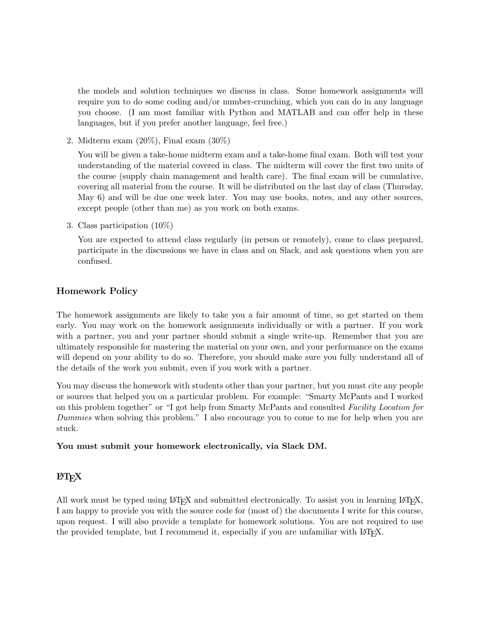the models and solution techniques we discuss in class. Some homework assignments will require you to do some coding and/or number-crunching, which you can do in any language you choose. (I am most familiar with Python and MATLAB and can offer help in these languages, but if you prefer another language, feel free.)

2. Midterm exam (20%), Final exam (30%)

You will be given a take-home midterm exam and a take-home final exam. Both will test your understanding of the material covered in class. The midterm will cover the first two units of the course (supply chain management and health care). The final exam will be cumulative, covering all material from the course. It will be distributed on the last day of class (Thursday, May 6) and will be due one week later. You may use books, notes, and any other sources, except people (other than me) as you work on both exams.

3. Class participation (10%)

You are expected to attend class regularly (in person or remotely), come to class prepared, participate in the discussions we have in class and on Slack, and ask questions when you are confused.

## Homework Policy

The homework assignments are likely to take you a fair amount of time, so get started on them early. You may work on the homework assignments individually or with a partner. If you work with a partner, you and your partner should submit a single write-up. Remember that you are ultimately responsible for mastering the material on your own, and your performance on the exams will depend on your ability to do so. Therefore, you should make sure you fully understand all of the details of the work you submit, even if you work with a partner.

You may discuss the homework with students other than your partner, but you must cite any people or sources that helped you on a particular problem. For example: "Smarty McPants and I worked on this problem together" or "I got help from Smarty McPants and consulted Facility Location for Dummies when solving this problem." I also encourage you to come to me for help when you are stuck.

#### You must submit your homework electronically, via Slack DM.

## **LAT<sub>F</sub>X**

All work must be typed using LAT<sub>EX</sub> and submitted electronically. To assist you in learning LAT<sub>EX</sub>, I am happy to provide you with the source code for (most of) the documents I write for this course, upon request. I will also provide a template for homework solutions. You are not required to use the provided template, but I recommend it, especially if you are unfamiliar with LATEX.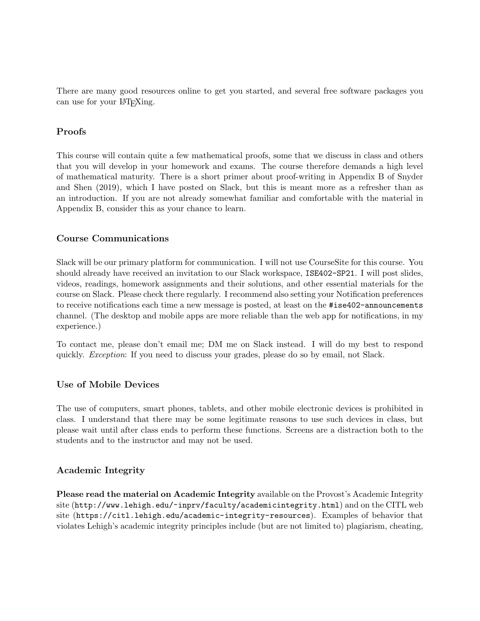There are many good resources online to get you started, and several free software packages you can use for your LAT<sub>EXing</sub>.

### Proofs

This course will contain quite a few mathematical proofs, some that we discuss in class and others that you will develop in your homework and exams. The course therefore demands a high level of mathematical maturity. There is a short primer about proof-writing in Appendix B of Snyder and Shen (2019), which I have posted on Slack, but this is meant more as a refresher than as an introduction. If you are not already somewhat familiar and comfortable with the material in Appendix B, consider this as your chance to learn.

#### Course Communications

Slack will be our primary platform for communication. I will not use CourseSite for this course. You should already have received an invitation to our Slack workspace, ISE402-SP21. I will post slides, videos, readings, homework assignments and their solutions, and other essential materials for the course on Slack. Please check there regularly. I recommend also setting your Notification preferences to receive notifications each time a new message is posted, at least on the #ise402-announcements channel. (The desktop and mobile apps are more reliable than the web app for notifications, in my experience.)

To contact me, please don't email me; DM me on Slack instead. I will do my best to respond quickly. *Exception*: If you need to discuss your grades, please do so by email, not Slack.

#### Use of Mobile Devices

The use of computers, smart phones, tablets, and other mobile electronic devices is prohibited in class. I understand that there may be some legitimate reasons to use such devices in class, but please wait until after class ends to perform these functions. Screens are a distraction both to the students and to the instructor and may not be used.

## Academic Integrity

Please read the material on Academic Integrity available on the Provost's Academic Integrity site (http://www.lehigh.edu/~inprv/faculty/academicintegrity.html) and on the CITL web site (https://citl.lehigh.edu/academic-integrity-resources). Examples of behavior that violates Lehigh's academic integrity principles include (but are not limited to) plagiarism, cheating,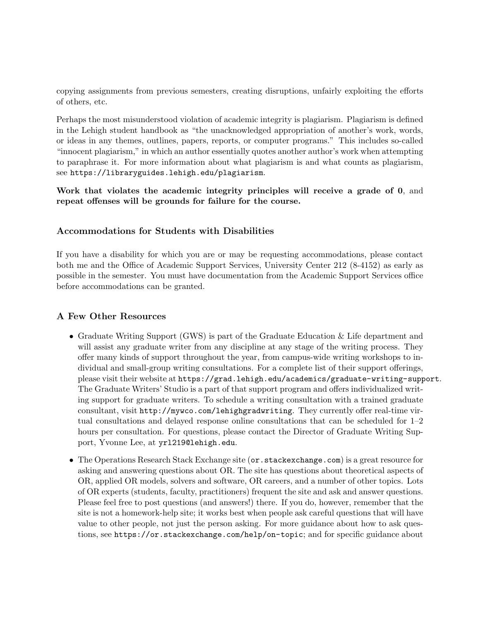copying assignments from previous semesters, creating disruptions, unfairly exploiting the efforts of others, etc.

Perhaps the most misunderstood violation of academic integrity is plagiarism. Plagiarism is defined in the Lehigh student handbook as "the unacknowledged appropriation of another's work, words, or ideas in any themes, outlines, papers, reports, or computer programs." This includes so-called "innocent plagiarism," in which an author essentially quotes another author's work when attempting to paraphrase it. For more information about what plagiarism is and what counts as plagiarism, see https://libraryguides.lehigh.edu/plagiarism.

Work that violates the academic integrity principles will receive a grade of 0, and repeat offenses will be grounds for failure for the course.

### Accommodations for Students with Disabilities

If you have a disability for which you are or may be requesting accommodations, please contact both me and the Office of Academic Support Services, University Center 212 (8-4152) as early as possible in the semester. You must have documentation from the Academic Support Services office before accommodations can be granted.

#### A Few Other Resources

- Graduate Writing Support (GWS) is part of the Graduate Education & Life department and will assist any graduate writer from any discipline at any stage of the writing process. They offer many kinds of support throughout the year, from campus-wide writing workshops to individual and small-group writing consultations. For a complete list of their support offerings, please visit their website at https://grad.lehigh.edu/academics/graduate-writing-support. The Graduate Writers' Studio is a part of that support program and offers individualized writing support for graduate writers. To schedule a writing consultation with a trained graduate consultant, visit http://mywco.com/lehighgradwriting. They currently offer real-time virtual consultations and delayed response online consultations that can be scheduled for 1–2 hours per consultation. For questions, please contact the Director of Graduate Writing Support, Yvonne Lee, at yrl219@lehigh.edu.
- The Operations Research Stack Exchange site (or . stackexchange.com) is a great resource for asking and answering questions about OR. The site has questions about theoretical aspects of OR, applied OR models, solvers and software, OR careers, and a number of other topics. Lots of OR experts (students, faculty, practitioners) frequent the site and ask and answer questions. Please feel free to post questions (and answers!) there. If you do, however, remember that the site is not a homework-help site; it works best when people ask careful questions that will have value to other people, not just the person asking. For more guidance about how to ask questions, see https://or.stackexchange.com/help/on-topic; and for specific guidance about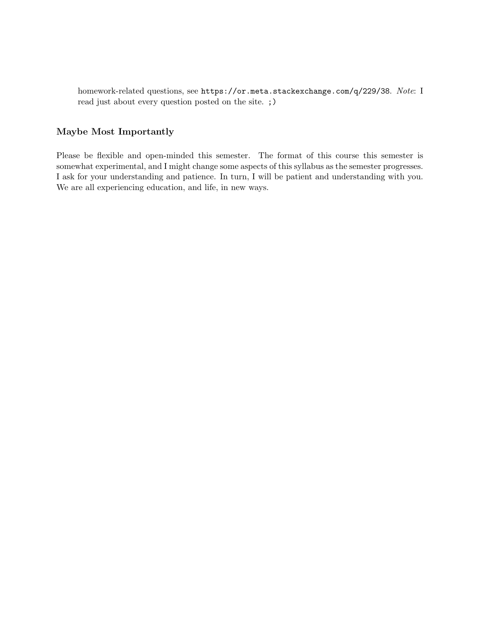homework-related questions, see https://or.meta.stackexchange.com/q/229/38. Note: I read just about every question posted on the site. ;)

#### Maybe Most Importantly

Please be flexible and open-minded this semester. The format of this course this semester is somewhat experimental, and I might change some aspects of this syllabus as the semester progresses. I ask for your understanding and patience. In turn, I will be patient and understanding with you. We are all experiencing education, and life, in new ways.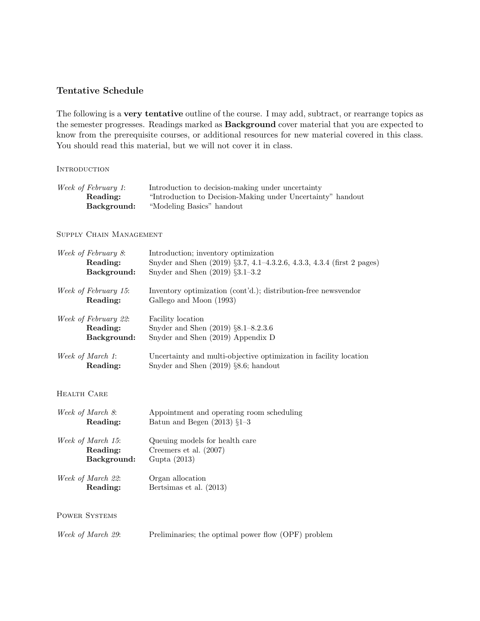## Tentative Schedule

The following is a very tentative outline of the course. I may add, subtract, or rearrange topics as the semester progresses. Readings marked as Background cover material that you are expected to know from the prerequisite courses, or additional resources for new material covered in this class. You should read this material, but we will not cover it in class.

#### **INTRODUCTION**

| Introduction to decision-making under uncertainty           |
|-------------------------------------------------------------|
| "Introduction to Decision-Making under Uncertainty" handout |
|                                                             |
|                                                             |

#### Supply Chain Management

| Week of February 8:         | Introduction; inventory optimization                                   |
|-----------------------------|------------------------------------------------------------------------|
| Reading:                    | Snyder and Shen (2019) §3.7, 4.1-4.3.2.6, 4.3.3, 4.3.4 (first 2 pages) |
| Background:                 | Snyder and Shen $(2019)$ $\S3.1-3.2$                                   |
| <i>Week of February 15:</i> | Inventory optimization (cont'd.); distribution-free newsvendor         |
| Reading:                    | Gallego and Moon (1993)                                                |
| Week of February 22:        | Facility location                                                      |
| Reading:                    | Snyder and Shen (2019) §8.1-8.2.3.6                                    |
| Background:                 | Snyder and Shen (2019) Appendix D                                      |
| Week of March 1:            | Uncertainty and multi-objective optimization in facility location      |
| Reading:                    | Snyder and Shen $(2019)$ §8.6; handout                                 |
| HEALTH CARE                 |                                                                        |
| Week of March 8:            | Appointment and operating room scheduling                              |
| Reading:                    | Batun and Begen $(2013)$ §1-3                                          |
| Week of March 15:           | Queuing models for health care                                         |
| Reading:                    | Creemers et al. $(2007)$                                               |
| Background:                 | Gupta (2013)                                                           |
| Week of March 22:           | Organ allocation                                                       |
| Reading:                    | Bertsimas et al. (2013)                                                |
| <b>POWER SYSTEMS</b>        |                                                                        |
| Week of March 29:           | Preliminaries; the optimal power flow (OPF) problem                    |